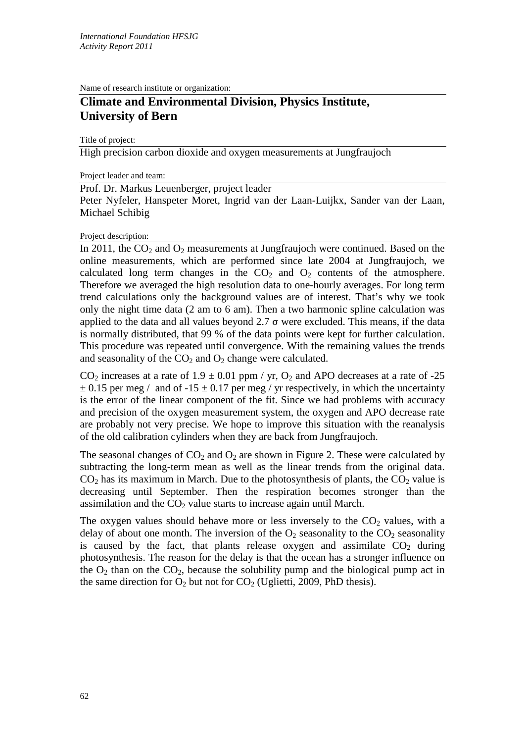Name of research institute or organization:

# **Climate and Environmental Division, Physics Institute, University of Bern**

Title of project:

High precision carbon dioxide and oxygen measurements at Jungfraujoch

Project leader and team:

Prof. Dr. Markus Leuenberger, project leader

Peter Nyfeler, Hanspeter Moret, Ingrid van der Laan-Luijkx, Sander van der Laan, Michael Schibig

### Project description:

In 2011, the  $CO<sub>2</sub>$  and  $O<sub>2</sub>$  measurements at Jungfraujoch were continued. Based on the online measurements, which are performed since late 2004 at Jungfraujoch, we calculated long term changes in the  $CO<sub>2</sub>$  and  $O<sub>2</sub>$  contents of the atmosphere. Therefore we averaged the high resolution data to one-hourly averages. For long term trend calculations only the background values are of interest. That's why we took only the night time data (2 am to 6 am). Then a two harmonic spline calculation was applied to the data and all values beyond  $2.7 \sigma$  were excluded. This means, if the data is normally distributed, that 99 % of the data points were kept for further calculation. This procedure was repeated until convergence. With the remaining values the trends and seasonality of the  $CO<sub>2</sub>$  and  $O<sub>2</sub>$  change were calculated.

 $CO<sub>2</sub>$  increases at a rate of 1.9  $\pm$  0.01 ppm / yr,  $O<sub>2</sub>$  and APO decreases at a rate of -25  $\pm$  0.15 per meg / and of -15  $\pm$  0.17 per meg / yr respectively, in which the uncertainty is the error of the linear component of the fit. Since we had problems with accuracy and precision of the oxygen measurement system, the oxygen and APO decrease rate are probably not very precise. We hope to improve this situation with the reanalysis of the old calibration cylinders when they are back from Jungfraujoch.

The seasonal changes of  $CO_2$  and  $O_2$  are shown in Figure 2. These were calculated by subtracting the long-term mean as well as the linear trends from the original data.  $CO<sub>2</sub>$  has its maximum in March. Due to the photosynthesis of plants, the  $CO<sub>2</sub>$  value is decreasing until September. Then the respiration becomes stronger than the assimilation and the CO<sub>2</sub> value starts to increase again until March.

The oxygen values should behave more or less inversely to the  $CO<sub>2</sub>$  values, with a delay of about one month. The inversion of the  $O_2$  seasonality to the  $CO_2$  seasonality is caused by the fact, that plants release oxygen and assimilate  $CO<sub>2</sub>$  during photosynthesis. The reason for the delay is that the ocean has a stronger influence on the  $O_2$  than on the  $CO_2$ , because the solubility pump and the biological pump act in the same direction for  $O_2$  but not for  $CO_2$  (Uglietti, 2009, PhD thesis).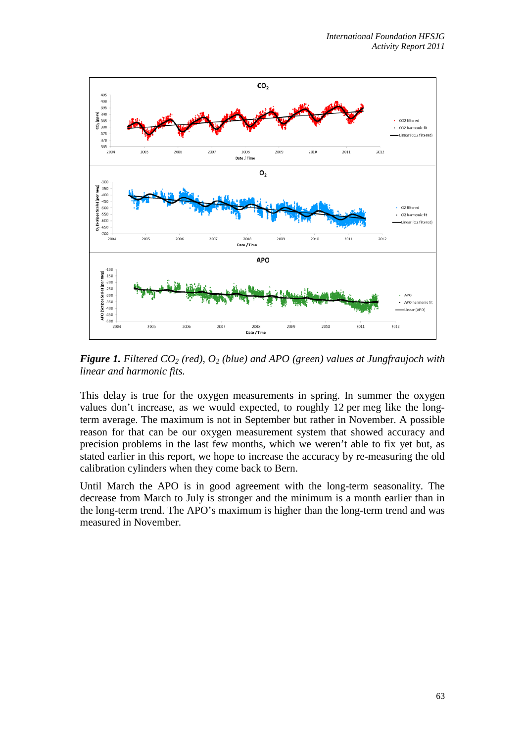

*Figure 1. Filtered CO2 (red), O2 (blue) and APO (green) values at Jungfraujoch with linear and harmonic fits.*

This delay is true for the oxygen measurements in spring. In summer the oxygen values don't increase, as we would expected, to roughly 12 per meg like the longterm average. The maximum is not in September but rather in November. A possible reason for that can be our oxygen measurement system that showed accuracy and precision problems in the last few months, which we weren't able to fix yet but, as stated earlier in this report, we hope to increase the accuracy by re-measuring the old calibration cylinders when they come back to Bern.

Until March the APO is in good agreement with the long-term seasonality. The decrease from March to July is stronger and the minimum is a month earlier than in the long-term trend. The APO's maximum is higher than the long-term trend and was measured in November.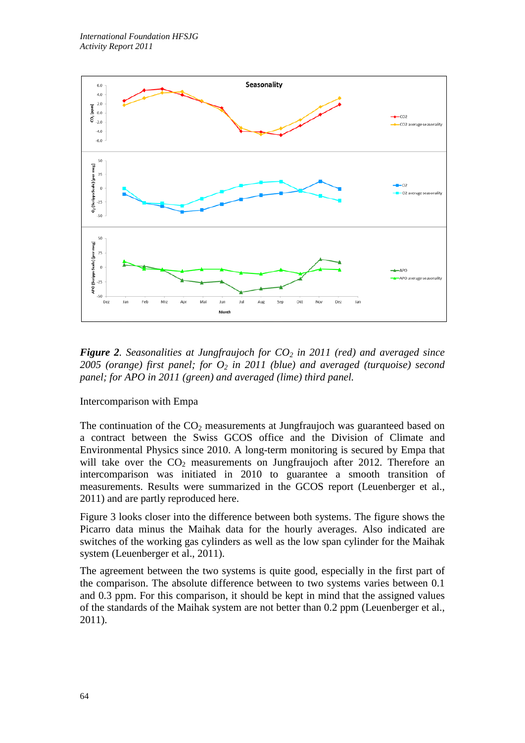

*Figure 2. Seasonalities at Jungfraujoch for CO2 in 2011 (red) and averaged since 2005 (orange) first panel; for*  $O_2$  *in 2011 (blue) and averaged (turquoise) second panel; for APO in 2011 (green) and averaged (lime) third panel.*

## Intercomparison with Empa

The continuation of the  $CO<sub>2</sub>$  measurements at Jungfraujoch was guaranteed based on a contract between the Swiss GCOS office and the Division of Climate and Environmental Physics since 2010. A long-term monitoring is secured by Empa that will take over the  $CO<sub>2</sub>$  measurements on Jungfraujoch after 2012. Therefore an intercomparison was initiated in 2010 to guarantee a smooth transition of measurements. Results were summarized in the GCOS report (Leuenberger et al., 2011) and are partly reproduced here.

Figure 3 looks closer into the difference between both systems. The figure shows the Picarro data minus the Maihak data for the hourly averages. Also indicated are switches of the working gas cylinders as well as the low span cylinder for the Maihak system (Leuenberger et al., 2011).

The agreement between the two systems is quite good, especially in the first part of the comparison. The absolute difference between to two systems varies between 0.1 and 0.3 ppm. For this comparison, it should be kept in mind that the assigned values of the standards of the Maihak system are not better than 0.2 ppm (Leuenberger et al., 2011).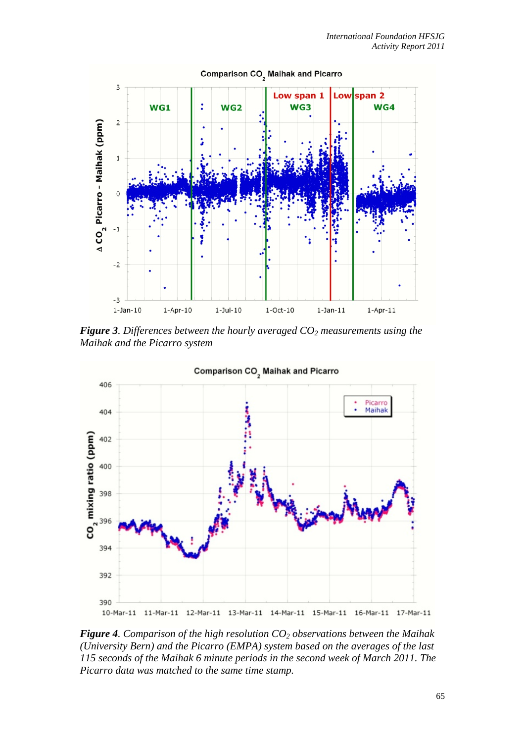

*Figure 3. Differences between the hourly averaged CO2 measurements using the Maihak and the Picarro system*



*Figure 4. Comparison of the high resolution CO2 observations between the Maihak (University Bern) and the Picarro (EMPA) system based on the averages of the last 115 seconds of the Maihak 6 minute periods in the second week of March 2011. The Picarro data was matched to the same time stamp.*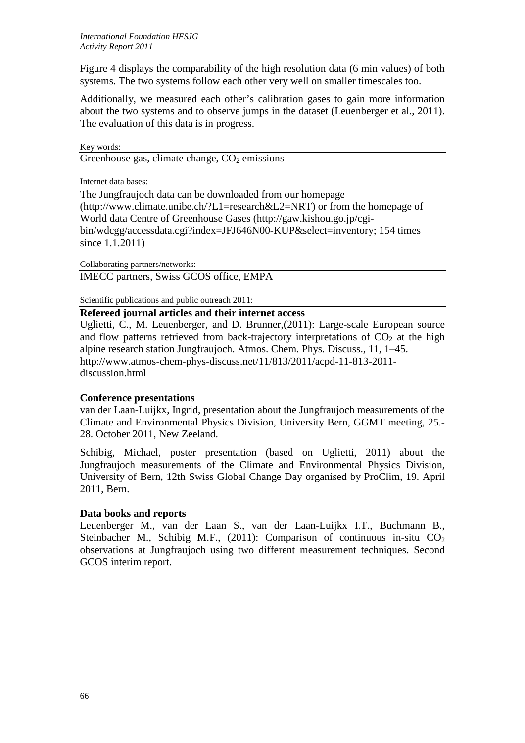Figure 4 displays the comparability of the high resolution data (6 min values) of both systems. The two systems follow each other very well on smaller timescales too.

Additionally, we measured each other's calibration gases to gain more information about the two systems and to observe jumps in the dataset (Leuenberger et al., 2011). The evaluation of this data is in progress.

Key words: Greenhouse gas, climate change,  $CO<sub>2</sub>$  emissions

Internet data bases:

The Jungfraujoch data can be downloaded from our homepage (http://www.climate.unibe.ch/?L1=research&L2=NRT) or from the homepage of World data Centre of Greenhouse Gases (http://gaw.kishou.go.jp/cgibin/wdcgg/accessdata.cgi?index=JFJ646N00-KUP&select=inventory; 154 times since 1.1.2011)

Collaborating partners/networks:

IMECC partners, Swiss GCOS office, EMPA

Scientific publications and public outreach 2011:

## **Refereed journal articles and their internet access**

Uglietti, C., M. Leuenberger, and D. Brunner,(2011): Large-scale European source and flow patterns retrieved from back-trajectory interpretations of  $CO<sub>2</sub>$  at the high alpine research station Jungfraujoch. Atmos. Chem. Phys. Discuss., 11, 1–45. http://www.atmos-chem-phys-discuss.net/11/813/2011/acpd-11-813-2011 discussion.html

## **Conference presentations**

van der Laan-Luijkx, Ingrid, presentation about the Jungfraujoch measurements of the Climate and Environmental Physics Division, University Bern, GGMT meeting, 25.- 28. October 2011, New Zeeland.

Schibig, Michael, poster presentation (based on Uglietti, 2011) about the Jungfraujoch measurements of the Climate and Environmental Physics Division, University of Bern, 12th Swiss Global Change Day organised by ProClim, 19. April 2011, Bern.

## **Data books and reports**

Leuenberger M., van der Laan S., van der Laan-Luijkx I.T., Buchmann B., Steinbacher M., Schibig M.F.,  $(2011)$ : Comparison of continuous in-situ CO<sub>2</sub> observations at Jungfraujoch using two different measurement techniques. Second GCOS interim report.